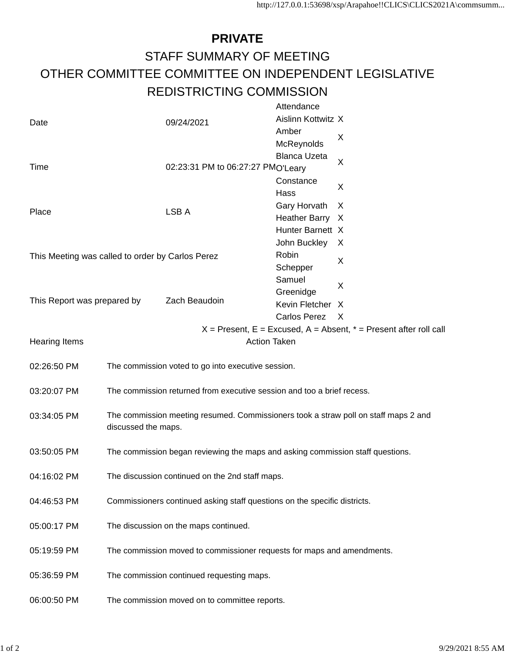## **PRIVATE** STAFF SUMMARY OF MEETING OTHER COMMITTEE COMMITTEE ON INDEPENDENT LEGISLATIVE REDISTRICTING COMMISSION

|                                                                                          |                                                                                                            |                                                                        | Attendance          |   |  |
|------------------------------------------------------------------------------------------|------------------------------------------------------------------------------------------------------------|------------------------------------------------------------------------|---------------------|---|--|
| Date                                                                                     |                                                                                                            | 09/24/2021                                                             | Aislinn Kottwitz X  |   |  |
|                                                                                          |                                                                                                            |                                                                        | Amber               | X |  |
|                                                                                          |                                                                                                            |                                                                        | McReynolds          |   |  |
|                                                                                          |                                                                                                            |                                                                        | <b>Blanca Uzeta</b> |   |  |
| Time                                                                                     |                                                                                                            | 02:23:31 PM to 06:27:27 PMO'Leary<br>Constance                         |                     | X |  |
|                                                                                          |                                                                                                            |                                                                        |                     |   |  |
|                                                                                          |                                                                                                            |                                                                        | Hass                | X |  |
| Place                                                                                    |                                                                                                            | LSB A                                                                  | Gary Horvath        | X |  |
|                                                                                          |                                                                                                            |                                                                        | Heather Barry X     |   |  |
|                                                                                          |                                                                                                            |                                                                        | Hunter Barnett X    |   |  |
|                                                                                          |                                                                                                            |                                                                        | John Buckley        | X |  |
|                                                                                          |                                                                                                            | This Meeting was called to order by Carlos Perez                       | Robin               |   |  |
|                                                                                          |                                                                                                            |                                                                        | Schepper            | X |  |
|                                                                                          |                                                                                                            |                                                                        | Samuel              |   |  |
|                                                                                          |                                                                                                            |                                                                        | Greenidge           | X |  |
| This Report was prepared by                                                              |                                                                                                            | Zach Beaudoin                                                          | Kevin Fletcher X    |   |  |
|                                                                                          |                                                                                                            |                                                                        | Carlos Perez X      |   |  |
| $X =$ Present, E = Excused, A = Absent, $* =$ Present after roll call                    |                                                                                                            |                                                                        |                     |   |  |
| <b>Action Taken</b><br><b>Hearing Items</b>                                              |                                                                                                            |                                                                        |                     |   |  |
|                                                                                          |                                                                                                            |                                                                        |                     |   |  |
| 02:26:50 PM                                                                              |                                                                                                            | The commission voted to go into executive session.                     |                     |   |  |
|                                                                                          |                                                                                                            |                                                                        |                     |   |  |
| 03:20:07 PM                                                                              | The commission returned from executive session and too a brief recess.                                     |                                                                        |                     |   |  |
|                                                                                          |                                                                                                            |                                                                        |                     |   |  |
| 03:34:05 PM                                                                              | The commission meeting resumed. Commissioners took a straw poll on staff maps 2 and<br>discussed the maps. |                                                                        |                     |   |  |
|                                                                                          |                                                                                                            |                                                                        |                     |   |  |
|                                                                                          |                                                                                                            |                                                                        |                     |   |  |
| 03:50:05 PM                                                                              | The commission began reviewing the maps and asking commission staff questions.                             |                                                                        |                     |   |  |
|                                                                                          |                                                                                                            |                                                                        |                     |   |  |
| 04:16:02 PM                                                                              | The discussion continued on the 2nd staff maps.                                                            |                                                                        |                     |   |  |
|                                                                                          |                                                                                                            |                                                                        |                     |   |  |
| 04:46:53 PM<br>Commissioners continued asking staff questions on the specific districts. |                                                                                                            |                                                                        |                     |   |  |
|                                                                                          |                                                                                                            |                                                                        |                     |   |  |
| 05:00:17 PM                                                                              |                                                                                                            | The discussion on the maps continued.                                  |                     |   |  |
|                                                                                          |                                                                                                            |                                                                        |                     |   |  |
| 05:19:59 PM                                                                              |                                                                                                            | The commission moved to commissioner requests for maps and amendments. |                     |   |  |
|                                                                                          |                                                                                                            |                                                                        |                     |   |  |
| 05:36:59 PM                                                                              |                                                                                                            | The commission continued requesting maps.                              |                     |   |  |
|                                                                                          |                                                                                                            |                                                                        |                     |   |  |
| 06:00:50 PM                                                                              |                                                                                                            | The commission moved on to committee reports.                          |                     |   |  |
|                                                                                          |                                                                                                            |                                                                        |                     |   |  |